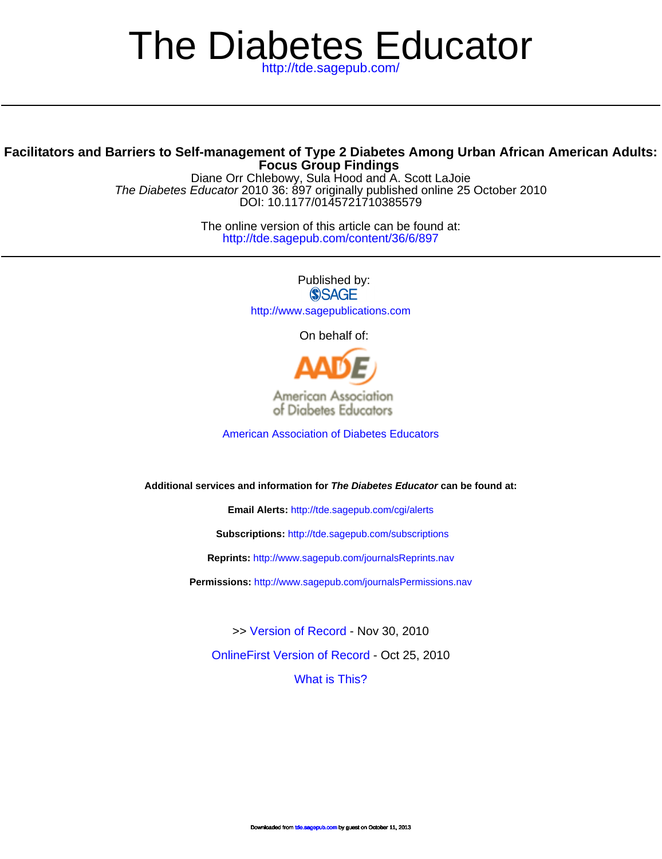## <http://tde.sagepub.com/> The Diabetes Educator

#### **Focus Group Findings Facilitators and Barriers to Self-management of Type 2 Diabetes Among Urban African American Adults:**

DOI: 10.1177/0145721710385579 The Diabetes Educator 2010 36: 897 originally published online 25 October 2010 Diane Orr Chlebowy, Sula Hood and A. Scott LaJoie

> <http://tde.sagepub.com/content/36/6/897> The online version of this article can be found at:

> > Published by:<br>
> > SAGE <http://www.sagepublications.com>

> > > On behalf of:



[American Association of Diabetes Educators](http://www.diabeteseducator.org)

**Additional services and information for The Diabetes Educator can be found at:**

**Email Alerts:** <http://tde.sagepub.com/cgi/alerts>

**Subscriptions:** <http://tde.sagepub.com/subscriptions>

**Reprints:** <http://www.sagepub.com/journalsReprints.nav>

**Permissions:** <http://www.sagepub.com/journalsPermissions.nav>

>> [Version of Record -](http://tde.sagepub.com/content/36/6/897.full.pdf) Nov 30, 2010

[OnlineFirst Version of Record](http://tde.sagepub.com/content/early/2010/10/23/0145721710385579.full.pdf) - Oct 25, 2010

[What is This?](http://online.sagepub.com/site/sphelp/vorhelp.xhtml)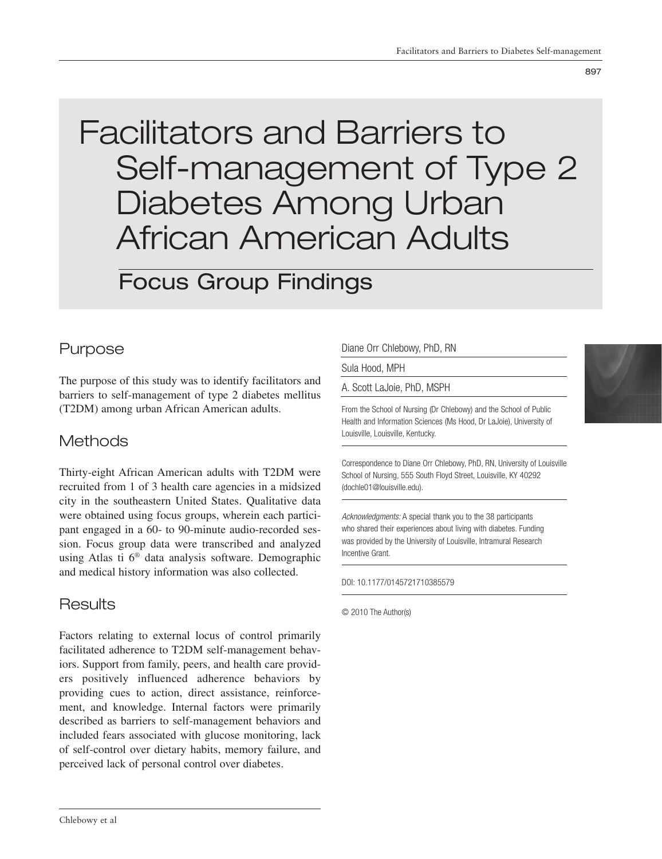# Facilitators and Barriers to Self-management of Type 2 Diabetes Among Urban African American Adults

## Focus Group Findings

## Purpose

The purpose of this study was to identify facilitators and barriers to self-management of type 2 diabetes mellitus (T2DM) among urban African American adults.

## **Methods**

Thirty-eight African American adults with T2DM were recruited from 1 of 3 health care agencies in a midsized city in the southeastern United States. Qualitative data were obtained using focus groups, wherein each participant engaged in a 60- to 90-minute audio-recorded session. Focus group data were transcribed and analyzed using Atlas ti 6® data analysis software. Demographic and medical history information was also collected.

## Results

Factors relating to external locus of control primarily facilitated adherence to T2DM self-management behaviors. Support from family, peers, and health care providers positively influenced adherence behaviors by providing cues to action, direct assistance, reinforcement, and knowledge. Internal factors were primarily described as barriers to self-management behaviors and included fears associated with glucose monitoring, lack of self-control over dietary habits, memory failure, and perceived lack of personal control over diabetes.

#### Diane Orr Chlebowy, PhD, RN

Sula Hood, MPH

A. Scott LaJoie, PhD, MSPH

From the School of Nursing (Dr Chlebowy) and the School of Public Health and Information Sciences (Ms Hood, Dr LaJoie), University of Louisville, Louisville, Kentucky.

Correspondence to Diane Orr Chlebowy, PhD, RN, University of Louisville School of Nursing, 555 South Floyd Street, Louisville, KY 40292 (dochle01@louisville.edu).

*Acknowledgments:* A special thank you to the 38 participants who shared their experiences about living with diabetes. Funding was provided by the University of Louisville, Intramural Research Incentive Grant.

DOI: 10.1177/0145721710385579

© 2010 The Author(s)

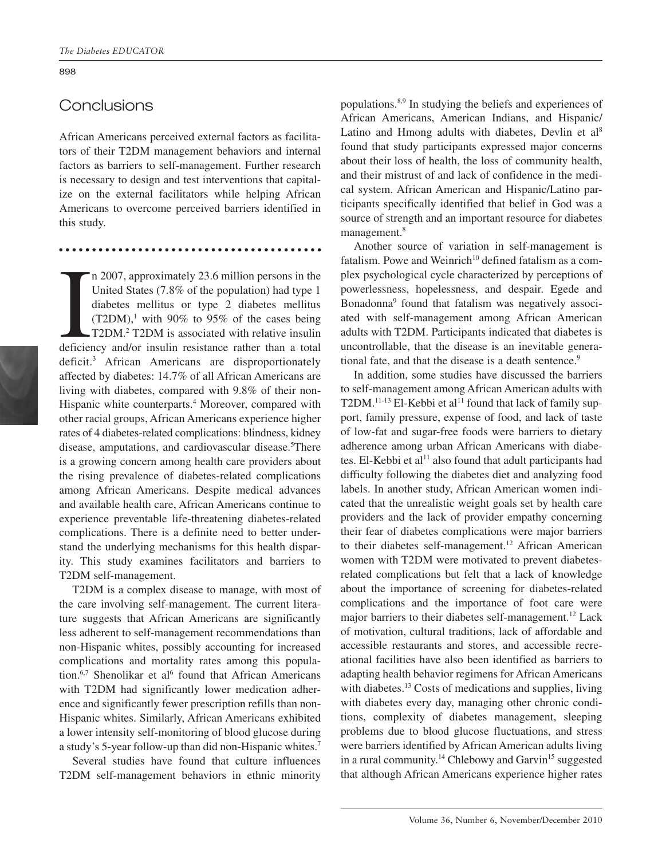## Conclusions

African Americans perceived external factors as facilitators of their T2DM management behaviors and internal factors as barriers to self-management. Further research is necessary to design and test interventions that capitalize on the external facilitators while helping African Americans to overcome perceived barriers identified in this study.

n 2007, approximately 23.6 million persons in the<br>United States (7.8% of the population) had type 1<br>diabetes mellitus or type 2 diabetes mellitus<br>(T2DM),<sup>1</sup> with 90% to 95% of the cases being<br>T2DM.<sup>2</sup> T2DM is associated wi n 2007, approximately 23.6 million persons in the United States (7.8% of the population) had type 1 diabetes mellitus or type 2 diabetes mellitus  $(T2DM)$ ,<sup>1</sup> with 90% to 95% of the cases being T2DM.<sup>2</sup> T2DM is associated with relative insulin deficit.3 African Americans are disproportionately affected by diabetes: 14.7% of all African Americans are living with diabetes, compared with 9.8% of their non-Hispanic white counterparts.<sup>4</sup> Moreover, compared with other racial groups, African Americans experience higher rates of 4 diabetes-related complications: blindness, kidney disease, amputations, and cardiovascular disease.<sup>5</sup>There is a growing concern among health care providers about the rising prevalence of diabetes-related complications among African Americans. Despite medical advances and available health care, African Americans continue to experience preventable life-threatening diabetes-related complications. There is a definite need to better understand the underlying mechanisms for this health disparity. This study examines facilitators and barriers to T2DM self-management. T2DM is a complex disease to manage, with most of

the care involving self-management. The current literature suggests that African Americans are significantly less adherent to self-management recommendations than non-Hispanic whites, possibly accounting for increased complications and mortality rates among this population.<sup>6,7</sup> Shenolikar et al<sup>6</sup> found that African Americans with T2DM had significantly lower medication adherence and significantly fewer prescription refills than non-Hispanic whites. Similarly, African Americans exhibited a lower intensity self-monitoring of blood glucose during a study's 5-year follow-up than did non-Hispanic whites.7

Several studies have found that culture influences T2DM self-management behaviors in ethnic minority

populations.8,9 In studying the beliefs and experiences of African Americans, American Indians, and Hispanic/ Latino and Hmong adults with diabetes, Devlin et al<sup>8</sup> found that study participants expressed major concerns about their loss of health, the loss of community health, and their mistrust of and lack of confidence in the medical system. African American and Hispanic/Latino participants specifically identified that belief in God was a source of strength and an important resource for diabetes management.<sup>8</sup>

Another source of variation in self-management is fatalism. Powe and Weinrich<sup>10</sup> defined fatalism as a complex psychological cycle characterized by perceptions of powerlessness, hopelessness, and despair. Egede and Bonadonna9 found that fatalism was negatively associated with self-management among African American adults with T2DM. Participants indicated that diabetes is uncontrollable, that the disease is an inevitable generational fate, and that the disease is a death sentence.<sup>9</sup>

In addition, some studies have discussed the barriers to self-management among African American adults with T2DM.<sup>11-13</sup> El-Kebbi et al<sup>11</sup> found that lack of family support, family pressure, expense of food, and lack of taste of low-fat and sugar-free foods were barriers to dietary adherence among urban African Americans with diabetes. El-Kebbi et al $<sup>11</sup>$  also found that adult participants had</sup> difficulty following the diabetes diet and analyzing food labels. In another study, African American women indicated that the unrealistic weight goals set by health care providers and the lack of provider empathy concerning their fear of diabetes complications were major barriers to their diabetes self-management.<sup>12</sup> African American women with T2DM were motivated to prevent diabetesrelated complications but felt that a lack of knowledge about the importance of screening for diabetes-related complications and the importance of foot care were major barriers to their diabetes self-management.<sup>12</sup> Lack of motivation, cultural traditions, lack of affordable and accessible restaurants and stores, and accessible recreational facilities have also been identified as barriers to adapting health behavior regimens for African Americans with diabetes.<sup>13</sup> Costs of medications and supplies, living with diabetes every day, managing other chronic conditions, complexity of diabetes management, sleeping problems due to blood glucose fluctuations, and stress were barriers identified by African American adults living in a rural community.<sup>14</sup> Chlebowy and Garvin<sup>15</sup> suggested that although African Americans experience higher rates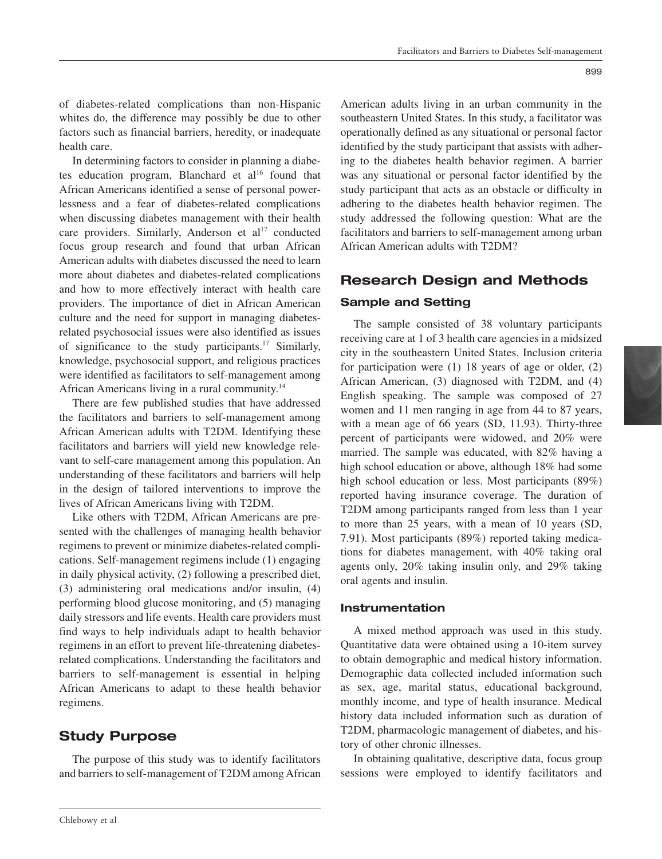of diabetes-related complications than non-Hispanic whites do, the difference may possibly be due to other factors such as financial barriers, heredity, or inadequate health care.

In determining factors to consider in planning a diabetes education program, Blanchard et  $al<sup>16</sup>$  found that African Americans identified a sense of personal powerlessness and a fear of diabetes-related complications when discussing diabetes management with their health care providers. Similarly, Anderson et al<sup>17</sup> conducted focus group research and found that urban African American adults with diabetes discussed the need to learn more about diabetes and diabetes-related complications and how to more effectively interact with health care providers. The importance of diet in African American culture and the need for support in managing diabetesrelated psychosocial issues were also identified as issues of significance to the study participants.<sup>17</sup> Similarly, knowledge, psychosocial support, and religious practices were identified as facilitators to self-management among African Americans living in a rural community.14

There are few published studies that have addressed the facilitators and barriers to self-management among African American adults with T2DM. Identifying these facilitators and barriers will yield new knowledge relevant to self-care management among this population. An understanding of these facilitators and barriers will help in the design of tailored interventions to improve the lives of African Americans living with T2DM.

Like others with T2DM, African Americans are presented with the challenges of managing health behavior regimens to prevent or minimize diabetes-related complications. Self-management regimens include (1) engaging in daily physical activity, (2) following a prescribed diet, (3) administering oral medications and/or insulin, (4) performing blood glucose monitoring, and (5) managing daily stressors and life events. Health care providers must find ways to help individuals adapt to health behavior regimens in an effort to prevent life-threatening diabetesrelated complications. Understanding the facilitators and barriers to self-management is essential in helping African Americans to adapt to these health behavior regimens.

### **Study Purpose**

The purpose of this study was to identify facilitators and barriers to self-management of T2DM among African American adults living in an urban community in the southeastern United States. In this study, a facilitator was operationally defined as any situational or personal factor identified by the study participant that assists with adhering to the diabetes health behavior regimen. A barrier was any situational or personal factor identified by the study participant that acts as an obstacle or difficulty in adhering to the diabetes health behavior regimen. The study addressed the following question: What are the facilitators and barriers to self-management among urban African American adults with T2DM?

## **Research Design and Methods Sample and Setting**

The sample consisted of 38 voluntary participants receiving care at 1 of 3 health care agencies in a midsized city in the southeastern United States. Inclusion criteria for participation were (1) 18 years of age or older, (2) African American, (3) diagnosed with T2DM, and (4) English speaking. The sample was composed of 27 women and 11 men ranging in age from 44 to 87 years, with a mean age of 66 years (SD, 11.93). Thirty-three percent of participants were widowed, and 20% were married. The sample was educated, with 82% having a high school education or above, although 18% had some high school education or less. Most participants (89%) reported having insurance coverage. The duration of T2DM among participants ranged from less than 1 year to more than 25 years, with a mean of 10 years (SD, 7.91). Most participants (89%) reported taking medications for diabetes management, with 40% taking oral agents only, 20% taking insulin only, and 29% taking oral agents and insulin.

#### **Instrumentation**

A mixed method approach was used in this study. Quantitative data were obtained using a 10-item survey to obtain demographic and medical history information. Demographic data collected included information such as sex, age, marital status, educational background, monthly income, and type of health insurance. Medical history data included information such as duration of T2DM, pharmacologic management of diabetes, and history of other chronic illnesses.

In obtaining qualitative, descriptive data, focus group sessions were employed to identify facilitators and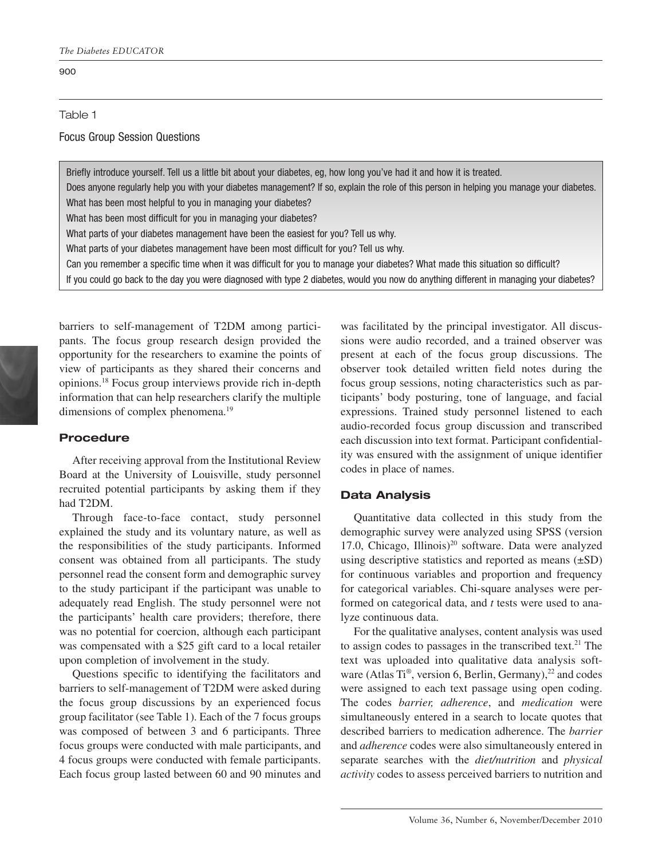#### Table 1

#### Focus Group Session Questions

Briefly introduce yourself. Tell us a little bit about your diabetes, eg, how long you've had it and how it is treated. Does anyone regularly help you with your diabetes management? If so, explain the role of this person in helping you manage your diabetes. What has been most helpful to you in managing your diabetes? What has been most difficult for you in managing your diabetes? What parts of your diabetes management have been the easiest for you? Tell us why. What parts of your diabetes management have been most difficult for you? Tell us why. Can you remember a specific time when it was difficult for you to manage your diabetes? What made this situation so difficult? If you could go back to the day you were diagnosed with type 2 diabetes, would you now do anything different in managing your diabetes?

barriers to self-management of T2DM among participants. The focus group research design provided the opportunity for the researchers to examine the points of view of participants as they shared their concerns and opinions.18 Focus group interviews provide rich in-depth information that can help researchers clarify the multiple dimensions of complex phenomena.<sup>19</sup>

#### **Procedure**

After receiving approval from the Institutional Review Board at the University of Louisville, study personnel recruited potential participants by asking them if they had T2DM.

Through face-to-face contact, study personnel explained the study and its voluntary nature, as well as the responsibilities of the study participants. Informed consent was obtained from all participants. The study personnel read the consent form and demographic survey to the study participant if the participant was unable to adequately read English. The study personnel were not the participants' health care providers; therefore, there was no potential for coercion, although each participant was compensated with a \$25 gift card to a local retailer upon completion of involvement in the study.

Questions specific to identifying the facilitators and barriers to self-management of T2DM were asked during the focus group discussions by an experienced focus group facilitator (see Table 1). Each of the 7 focus groups was composed of between 3 and 6 participants. Three focus groups were conducted with male participants, and 4 focus groups were conducted with female participants. Each focus group lasted between 60 and 90 minutes and was facilitated by the principal investigator. All discussions were audio recorded, and a trained observer was present at each of the focus group discussions. The observer took detailed written field notes during the focus group sessions, noting characteristics such as participants' body posturing, tone of language, and facial expressions. Trained study personnel listened to each audio-recorded focus group discussion and transcribed each discussion into text format. Participant confidentiality was ensured with the assignment of unique identifier codes in place of names.

#### **Data Analysis**

Quantitative data collected in this study from the demographic survey were analyzed using SPSS (version 17.0, Chicago, Illinois)<sup>20</sup> software. Data were analyzed using descriptive statistics and reported as means  $(\pm SD)$ for continuous variables and proportion and frequency for categorical variables. Chi-square analyses were performed on categorical data, and *t* tests were used to analyze continuous data.

For the qualitative analyses, content analysis was used to assign codes to passages in the transcribed text.<sup>21</sup> The text was uploaded into qualitative data analysis software (Atlas  $Ti^{\circ}$ , version 6, Berlin, Germany),<sup>22</sup> and codes were assigned to each text passage using open coding. The codes *barrier, adherence*, and *medication* were simultaneously entered in a search to locate quotes that described barriers to medication adherence. The *barrier* and *adherence* codes were also simultaneously entered in separate searches with the *diet/nutrition* and *physical activity* codes to assess perceived barriers to nutrition and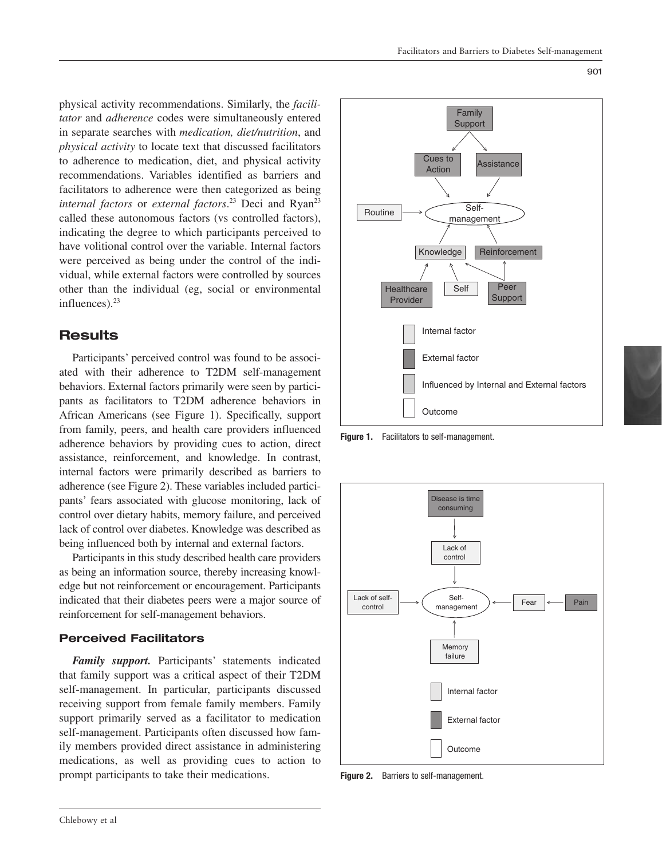physical activity recommendations. Similarly, the *facilitator* and *adherence* codes were simultaneously entered in separate searches with *medication, diet/nutrition*, and *physical activity* to locate text that discussed facilitators to adherence to medication, diet, and physical activity recommendations. Variables identified as barriers and facilitators to adherence were then categorized as being *internal factors* or *external factors*.<sup>23</sup> Deci and Ryan<sup>23</sup> called these autonomous factors (vs controlled factors), indicating the degree to which participants perceived to have volitional control over the variable. Internal factors were perceived as being under the control of the individual, while external factors were controlled by sources other than the individual (eg, social or environmental influences).<sup>23</sup>

### **Results**

Participants' perceived control was found to be associated with their adherence to T2DM self-management behaviors. External factors primarily were seen by participants as facilitators to T2DM adherence behaviors in African Americans (see Figure 1). Specifically, support from family, peers, and health care providers influenced adherence behaviors by providing cues to action, direct assistance, reinforcement, and knowledge. In contrast, internal factors were primarily described as barriers to adherence (see Figure 2). These variables included participants' fears associated with glucose monitoring, lack of control over dietary habits, memory failure, and perceived lack of control over diabetes. Knowledge was described as being influenced both by internal and external factors.

Participants in this study described health care providers as being an information source, thereby increasing knowledge but not reinforcement or encouragement. Participants indicated that their diabetes peers were a major source of reinforcement for self-management behaviors.

#### **Perceived Facilitators**

*Family support.* Participants' statements indicated that family support was a critical aspect of their T2DM self-management. In particular, participants discussed receiving support from female family members. Family support primarily served as a facilitator to medication self-management. Participants often discussed how family members provided direct assistance in administering medications, as well as providing cues to action to prompt participants to take their medications.



**Figure 1.** Facilitators to self-management.



**Figure 2.** Barriers to self-management.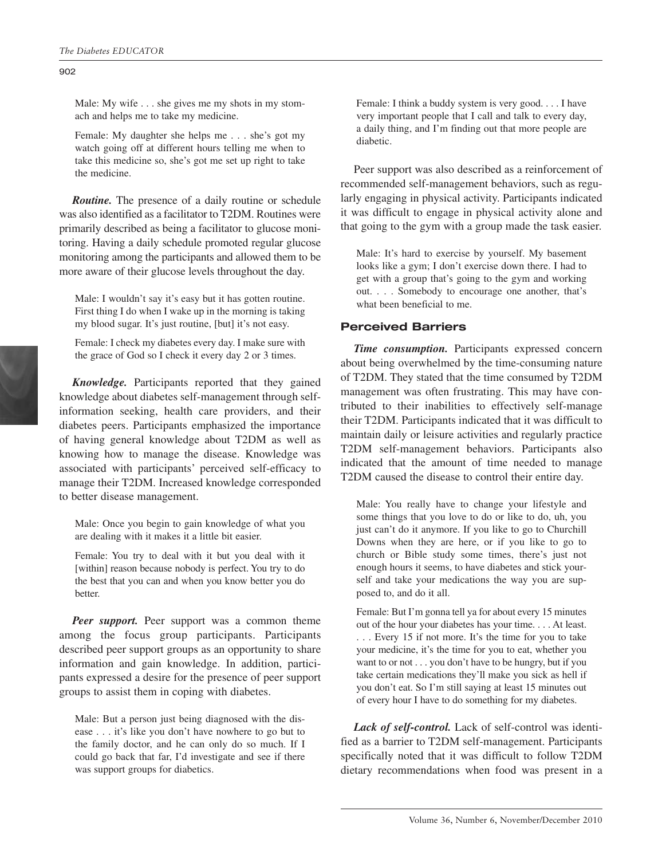Male: My wife . . . she gives me my shots in my stomach and helps me to take my medicine.

Female: My daughter she helps me . . . she's got my watch going off at different hours telling me when to take this medicine so, she's got me set up right to take the medicine.

*Routine.* The presence of a daily routine or schedule was also identified as a facilitator to T2DM. Routines were primarily described as being a facilitator to glucose monitoring. Having a daily schedule promoted regular glucose monitoring among the participants and allowed them to be more aware of their glucose levels throughout the day.

Male: I wouldn't say it's easy but it has gotten routine. First thing I do when I wake up in the morning is taking my blood sugar. It's just routine, [but] it's not easy.

Female: I check my diabetes every day. I make sure with the grace of God so I check it every day 2 or 3 times.

*Knowledge.* Participants reported that they gained knowledge about diabetes self-management through selfinformation seeking, health care providers, and their diabetes peers. Participants emphasized the importance of having general knowledge about T2DM as well as knowing how to manage the disease. Knowledge was associated with participants' perceived self-efficacy to manage their T2DM. Increased knowledge corresponded to better disease management.

Male: Once you begin to gain knowledge of what you are dealing with it makes it a little bit easier.

Female: You try to deal with it but you deal with it [within] reason because nobody is perfect. You try to do the best that you can and when you know better you do better.

*Peer support.* Peer support was a common theme among the focus group participants. Participants described peer support groups as an opportunity to share information and gain knowledge. In addition, participants expressed a desire for the presence of peer support groups to assist them in coping with diabetes.

Male: But a person just being diagnosed with the disease . . . it's like you don't have nowhere to go but to the family doctor, and he can only do so much. If I could go back that far, I'd investigate and see if there was support groups for diabetics.

Female: I think a buddy system is very good. . . . I have very important people that I call and talk to every day, a daily thing, and I'm finding out that more people are diabetic.

Peer support was also described as a reinforcement of recommended self-management behaviors, such as regularly engaging in physical activity. Participants indicated it was difficult to engage in physical activity alone and that going to the gym with a group made the task easier.

Male: It's hard to exercise by yourself. My basement looks like a gym; I don't exercise down there. I had to get with a group that's going to the gym and working out. . . . Somebody to encourage one another, that's what been beneficial to me.

#### **Perceived Barriers**

*Time consumption.* Participants expressed concern about being overwhelmed by the time-consuming nature of T2DM. They stated that the time consumed by T2DM management was often frustrating. This may have contributed to their inabilities to effectively self-manage their T2DM. Participants indicated that it was difficult to maintain daily or leisure activities and regularly practice T2DM self-management behaviors. Participants also indicated that the amount of time needed to manage T2DM caused the disease to control their entire day.

Male: You really have to change your lifestyle and some things that you love to do or like to do, uh, you just can't do it anymore. If you like to go to Churchill Downs when they are here, or if you like to go to church or Bible study some times, there's just not enough hours it seems, to have diabetes and stick yourself and take your medications the way you are supposed to, and do it all.

Female: But I'm gonna tell ya for about every 15 minutes out of the hour your diabetes has your time. . . . At least. . . . Every 15 if not more. It's the time for you to take your medicine, it's the time for you to eat, whether you want to or not . . . you don't have to be hungry, but if you take certain medications they'll make you sick as hell if you don't eat. So I'm still saying at least 15 minutes out of every hour I have to do something for my diabetes.

*Lack of self-control.* Lack of self-control was identified as a barrier to T2DM self-management. Participants specifically noted that it was difficult to follow T2DM dietary recommendations when food was present in a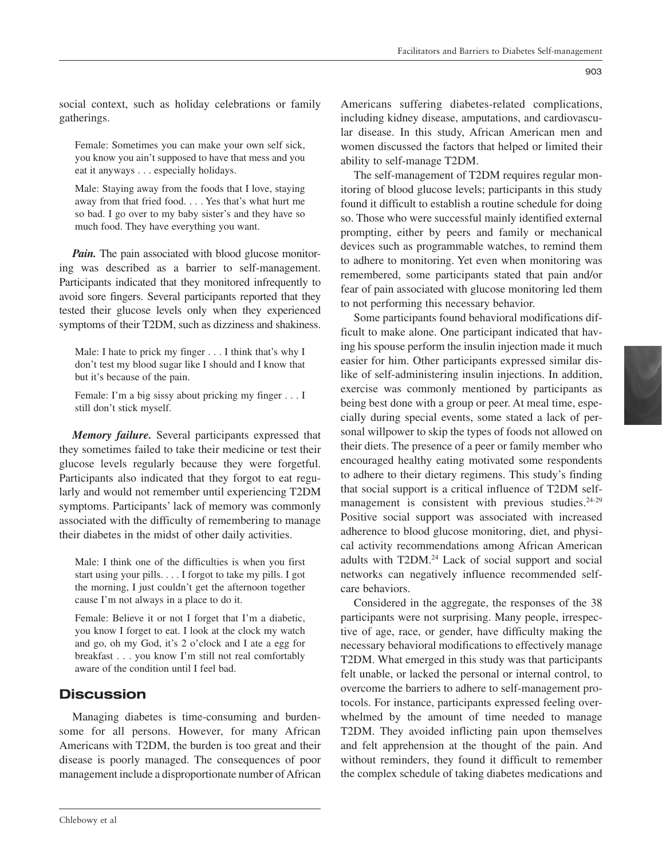social context, such as holiday celebrations or family gatherings.

Female: Sometimes you can make your own self sick, you know you ain't supposed to have that mess and you eat it anyways . . . especially holidays.

Male: Staying away from the foods that I love, staying away from that fried food. . . . Yes that's what hurt me so bad. I go over to my baby sister's and they have so much food. They have everything you want.

*Pain.* The pain associated with blood glucose monitoring was described as a barrier to self-management. Participants indicated that they monitored infrequently to avoid sore fingers. Several participants reported that they tested their glucose levels only when they experienced symptoms of their T2DM, such as dizziness and shakiness.

Male: I hate to prick my finger . . . I think that's why I don't test my blood sugar like I should and I know that but it's because of the pain.

Female: I'm a big sissy about pricking my finger . . . I still don't stick myself.

*Memory failure.* Several participants expressed that they sometimes failed to take their medicine or test their glucose levels regularly because they were forgetful. Participants also indicated that they forgot to eat regularly and would not remember until experiencing T2DM symptoms. Participants' lack of memory was commonly associated with the difficulty of remembering to manage their diabetes in the midst of other daily activities.

Male: I think one of the difficulties is when you first start using your pills. . . . I forgot to take my pills. I got the morning, I just couldn't get the afternoon together cause I'm not always in a place to do it.

Female: Believe it or not I forget that I'm a diabetic, you know I forget to eat. I look at the clock my watch and go, oh my God, it's 2 o'clock and I ate a egg for breakfast . . . you know I'm still not real comfortably aware of the condition until I feel bad.

## **Discussion**

Managing diabetes is time-consuming and burdensome for all persons. However, for many African Americans with T2DM, the burden is too great and their disease is poorly managed. The consequences of poor management include a disproportionate number of African Americans suffering diabetes-related complications, including kidney disease, amputations, and cardiovascular disease. In this study, African American men and women discussed the factors that helped or limited their ability to self-manage T2DM.

The self-management of T2DM requires regular monitoring of blood glucose levels; participants in this study found it difficult to establish a routine schedule for doing so. Those who were successful mainly identified external prompting, either by peers and family or mechanical devices such as programmable watches, to remind them to adhere to monitoring. Yet even when monitoring was remembered, some participants stated that pain and/or fear of pain associated with glucose monitoring led them to not performing this necessary behavior.

Some participants found behavioral modifications difficult to make alone. One participant indicated that having his spouse perform the insulin injection made it much easier for him. Other participants expressed similar dislike of self-administering insulin injections. In addition, exercise was commonly mentioned by participants as being best done with a group or peer. At meal time, especially during special events, some stated a lack of personal willpower to skip the types of foods not allowed on their diets. The presence of a peer or family member who encouraged healthy eating motivated some respondents to adhere to their dietary regimens. This study's finding that social support is a critical influence of T2DM selfmanagement is consistent with previous studies.<sup>24-29</sup> Positive social support was associated with increased adherence to blood glucose monitoring, diet, and physical activity recommendations among African American adults with T2DM.24 Lack of social support and social networks can negatively influence recommended selfcare behaviors.

Considered in the aggregate, the responses of the 38 participants were not surprising. Many people, irrespective of age, race, or gender, have difficulty making the necessary behavioral modifications to effectively manage T2DM. What emerged in this study was that participants felt unable, or lacked the personal or internal control, to overcome the barriers to adhere to self-management protocols. For instance, participants expressed feeling overwhelmed by the amount of time needed to manage T2DM. They avoided inflicting pain upon themselves and felt apprehension at the thought of the pain. And without reminders, they found it difficult to remember the complex schedule of taking diabetes medications and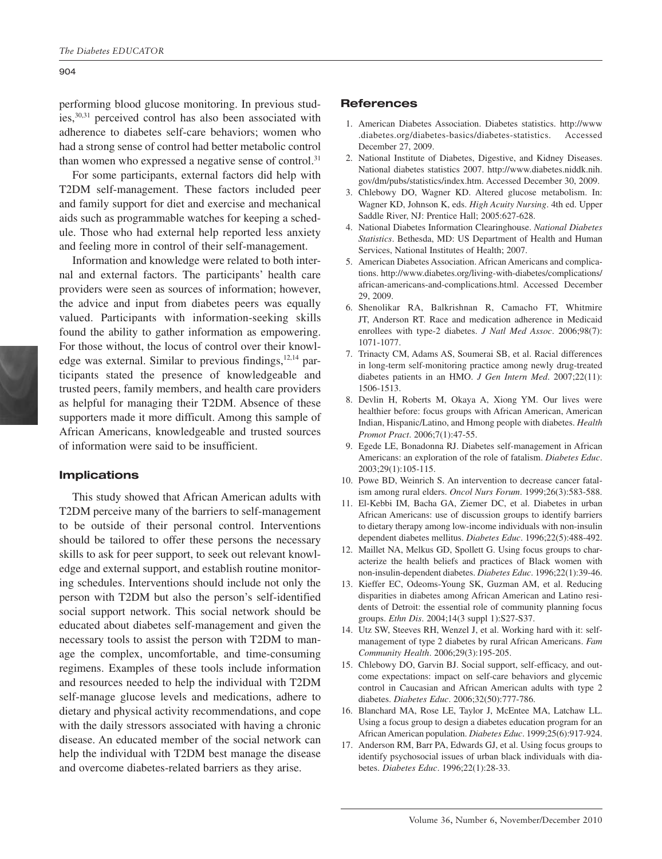performing blood glucose monitoring. In previous studies,30,31 perceived control has also been associated with adherence to diabetes self-care behaviors; women who had a strong sense of control had better metabolic control than women who expressed a negative sense of control. $31$ 

For some participants, external factors did help with T2DM self-management. These factors included peer and family support for diet and exercise and mechanical aids such as programmable watches for keeping a schedule. Those who had external help reported less anxiety and feeling more in control of their self-management.

Information and knowledge were related to both internal and external factors. The participants' health care providers were seen as sources of information; however, the advice and input from diabetes peers was equally valued. Participants with information-seeking skills found the ability to gather information as empowering. For those without, the locus of control over their knowledge was external. Similar to previous findings, $12,14$  participants stated the presence of knowledgeable and trusted peers, family members, and health care providers as helpful for managing their T2DM. Absence of these supporters made it more difficult. Among this sample of African Americans, knowledgeable and trusted sources of information were said to be insufficient.

#### **Implications**

This study showed that African American adults with T2DM perceive many of the barriers to self-management to be outside of their personal control. Interventions should be tailored to offer these persons the necessary skills to ask for peer support, to seek out relevant knowledge and external support, and establish routine monitoring schedules. Interventions should include not only the person with T2DM but also the person's self-identified social support network. This social network should be educated about diabetes self-management and given the necessary tools to assist the person with T2DM to manage the complex, uncomfortable, and time-consuming regimens. Examples of these tools include information and resources needed to help the individual with T2DM self-manage glucose levels and medications, adhere to dietary and physical activity recommendations, and cope with the daily stressors associated with having a chronic disease. An educated member of the social network can help the individual with T2DM best manage the disease and overcome diabetes-related barriers as they arise.

#### **References**

- 1. American Diabetes Association. Diabetes statistics. http://www .diabetes.org/diabetes-basics/diabetes-statistics. Accessed December 27, 2009.
- 2. National Institute of Diabetes, Digestive, and Kidney Diseases. National diabetes statistics 2007. http://www.diabetes.niddk.nih. gov/dm/pubs/statistics/index.htm. Accessed December 30, 2009.
- 3. Chlebowy DO, Wagner KD. Altered glucose metabolism. In: Wagner KD, Johnson K, eds. *High Acuity Nursing*. 4th ed. Upper Saddle River, NJ: Prentice Hall; 2005:627-628.
- 4. National Diabetes Information Clearinghouse. *National Diabetes Statistics*. Bethesda, MD: US Department of Health and Human Services, National Institutes of Health; 2007.
- 5. American Diabetes Association. African Americans and complications. http://www.diabetes.org/living-with-diabetes/complications/ african-americans-and-complications.html. Accessed December 29, 2009.
- 6. Shenolikar RA, Balkrishnan R, Camacho FT, Whitmire JT, Anderson RT. Race and medication adherence in Medicaid enrollees with type-2 diabetes. *J Natl Med Assoc*. 2006;98(7): 1071-1077.
- 7. Trinacty CM, Adams AS, Soumerai SB, et al. Racial differences in long-term self-monitoring practice among newly drug-treated diabetes patients in an HMO. *J Gen Intern Med*. 2007;22(11): 1506-1513.
- 8. Devlin H, Roberts M, Okaya A, Xiong YM. Our lives were healthier before: focus groups with African American, American Indian, Hispanic/Latino, and Hmong people with diabetes. *Health Promot Pract*. 2006;7(1):47-55.
- 9. Egede LE, Bonadonna RJ. Diabetes self-management in African Americans: an exploration of the role of fatalism. *Diabetes Educ*. 2003;29(1):105-115.
- 10. Powe BD, Weinrich S. An intervention to decrease cancer fatalism among rural elders. *Oncol Nurs Forum*. 1999;26(3):583-588.
- 11. El-Kebbi IM, Bacha GA, Ziemer DC, et al. Diabetes in urban African Americans: use of discussion groups to identify barriers to dietary therapy among low-income individuals with non-insulin dependent diabetes mellitus. *Diabetes Educ*. 1996;22(5):488-492.
- 12. Maillet NA, Melkus GD, Spollett G. Using focus groups to characterize the health beliefs and practices of Black women with non-insulin-dependent diabetes. *Diabetes Educ*. 1996;22(1):39-46.
- 13. Kieffer EC, Odeoms-Young SK, Guzman AM, et al. Reducing disparities in diabetes among African American and Latino residents of Detroit: the essential role of community planning focus groups. *Ethn Dis*. 2004;14(3 suppl 1):S27-S37.
- 14. Utz SW, Steeves RH, Wenzel J, et al. Working hard with it: selfmanagement of type 2 diabetes by rural African Americans. *Fam Community Health*. 2006;29(3):195-205.
- 15. Chlebowy DO, Garvin BJ. Social support, self-efficacy, and outcome expectations: impact on self-care behaviors and glycemic control in Caucasian and African American adults with type 2 diabetes. *Diabetes Educ*. 2006;32(50):777-786.
- 16. Blanchard MA, Rose LE, Taylor J, McEntee MA, Latchaw LL. Using a focus group to design a diabetes education program for an African American population. *Diabetes Educ*. 1999;25(6):917-924.
- 17. Anderson RM, Barr PA, Edwards GJ, et al. Using focus groups to identify psychosocial issues of urban black individuals with diabetes. *Diabetes Educ*. 1996;22(1):28-33.